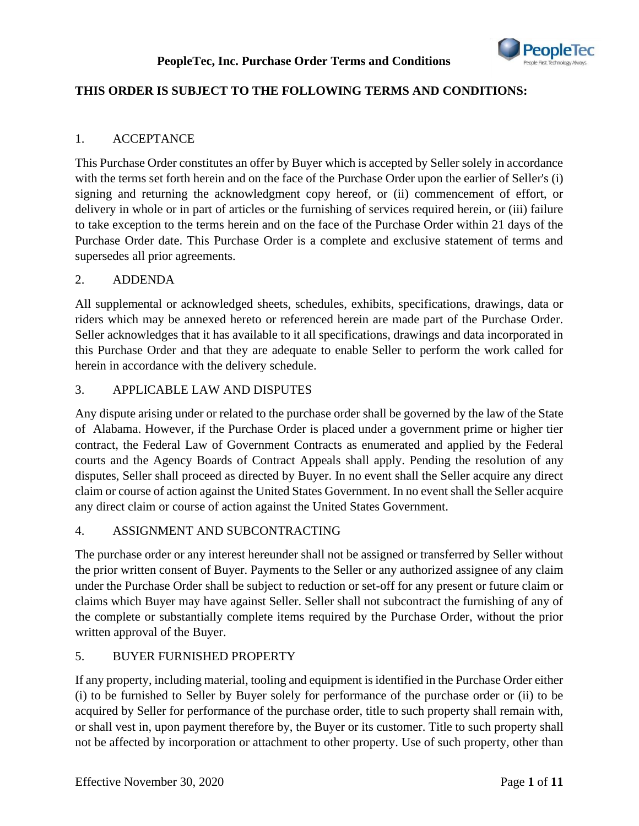

## **THIS ORDER IS SUBJECT TO THE FOLLOWING TERMS AND CONDITIONS:**

#### 1. ACCEPTANCE

This Purchase Order constitutes an offer by Buyer which is accepted by Seller solely in accordance with the terms set forth herein and on the face of the Purchase Order upon the earlier of Seller's (i) signing and returning the acknowledgment copy hereof, or (ii) commencement of effort, or delivery in whole or in part of articles or the furnishing of services required herein, or (iii) failure to take exception to the terms herein and on the face of the Purchase Order within 21 days of the Purchase Order date. This Purchase Order is a complete and exclusive statement of terms and supersedes all prior agreements.

#### 2. ADDENDA

All supplemental or acknowledged sheets, schedules, exhibits, specifications, drawings, data or riders which may be annexed hereto or referenced herein are made part of the Purchase Order. Seller acknowledges that it has available to it all specifications, drawings and data incorporated in this Purchase Order and that they are adequate to enable Seller to perform the work called for herein in accordance with the delivery schedule.

#### 3. APPLICABLE LAW AND DISPUTES

Any dispute arising under or related to the purchase order shall be governed by the law of the State of Alabama. However, if the Purchase Order is placed under a government prime or higher tier contract, the Federal Law of Government Contracts as enumerated and applied by the Federal courts and the Agency Boards of Contract Appeals shall apply. Pending the resolution of any disputes, Seller shall proceed as directed by Buyer. In no event shall the Seller acquire any direct claim or course of action against the United States Government. In no event shall the Seller acquire any direct claim or course of action against the United States Government.

#### 4. ASSIGNMENT AND SUBCONTRACTING

The purchase order or any interest hereunder shall not be assigned or transferred by Seller without the prior written consent of Buyer. Payments to the Seller or any authorized assignee of any claim under the Purchase Order shall be subject to reduction or set-off for any present or future claim or claims which Buyer may have against Seller. Seller shall not subcontract the furnishing of any of the complete or substantially complete items required by the Purchase Order, without the prior written approval of the Buyer.

#### 5. BUYER FURNISHED PROPERTY

If any property, including material, tooling and equipment is identified in the Purchase Order either (i) to be furnished to Seller by Buyer solely for performance of the purchase order or (ii) to be acquired by Seller for performance of the purchase order, title to such property shall remain with, or shall vest in, upon payment therefore by, the Buyer or its customer. Title to such property shall not be affected by incorporation or attachment to other property. Use of such property, other than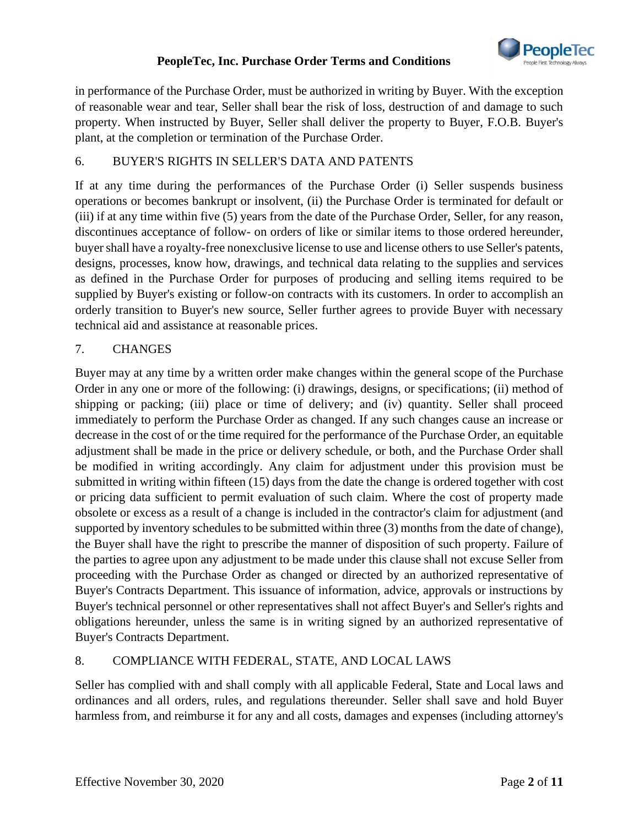

in performance of the Purchase Order, must be authorized in writing by Buyer. With the exception of reasonable wear and tear, Seller shall bear the risk of loss, destruction of and damage to such property. When instructed by Buyer, Seller shall deliver the property to Buyer, F.O.B. Buyer's plant, at the completion or termination of the Purchase Order.

## 6. BUYER'S RIGHTS IN SELLER'S DATA AND PATENTS

If at any time during the performances of the Purchase Order (i) Seller suspends business operations or becomes bankrupt or insolvent, (ii) the Purchase Order is terminated for default or (iii) if at any time within five (5) years from the date of the Purchase Order, Seller, for any reason, discontinues acceptance of follow- on orders of like or similar items to those ordered hereunder, buyer shall have a royalty-free nonexclusive license to use and license others to use Seller's patents, designs, processes, know how, drawings, and technical data relating to the supplies and services as defined in the Purchase Order for purposes of producing and selling items required to be supplied by Buyer's existing or follow-on contracts with its customers. In order to accomplish an orderly transition to Buyer's new source, Seller further agrees to provide Buyer with necessary technical aid and assistance at reasonable prices.

#### 7. CHANGES

Buyer may at any time by a written order make changes within the general scope of the Purchase Order in any one or more of the following: (i) drawings, designs, or specifications; (ii) method of shipping or packing; (iii) place or time of delivery; and (iv) quantity. Seller shall proceed immediately to perform the Purchase Order as changed. If any such changes cause an increase or decrease in the cost of or the time required for the performance of the Purchase Order, an equitable adjustment shall be made in the price or delivery schedule, or both, and the Purchase Order shall be modified in writing accordingly. Any claim for adjustment under this provision must be submitted in writing within fifteen (15) days from the date the change is ordered together with cost or pricing data sufficient to permit evaluation of such claim. Where the cost of property made obsolete or excess as a result of a change is included in the contractor's claim for adjustment (and supported by inventory schedules to be submitted within three (3) months from the date of change), the Buyer shall have the right to prescribe the manner of disposition of such property. Failure of the parties to agree upon any adjustment to be made under this clause shall not excuse Seller from proceeding with the Purchase Order as changed or directed by an authorized representative of Buyer's Contracts Department. This issuance of information, advice, approvals or instructions by Buyer's technical personnel or other representatives shall not affect Buyer's and Seller's rights and obligations hereunder, unless the same is in writing signed by an authorized representative of Buyer's Contracts Department.

## 8. COMPLIANCE WITH FEDERAL, STATE, AND LOCAL LAWS

Seller has complied with and shall comply with all applicable Federal, State and Local laws and ordinances and all orders, rules, and regulations thereunder. Seller shall save and hold Buyer harmless from, and reimburse it for any and all costs, damages and expenses (including attorney's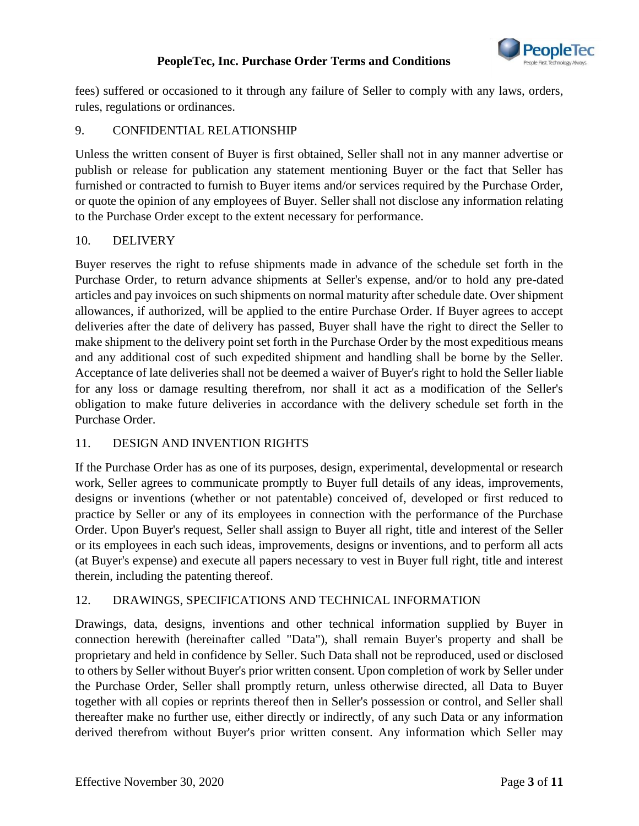

fees) suffered or occasioned to it through any failure of Seller to comply with any laws, orders, rules, regulations or ordinances.

## 9. CONFIDENTIAL RELATIONSHIP

Unless the written consent of Buyer is first obtained, Seller shall not in any manner advertise or publish or release for publication any statement mentioning Buyer or the fact that Seller has furnished or contracted to furnish to Buyer items and/or services required by the Purchase Order, or quote the opinion of any employees of Buyer. Seller shall not disclose any information relating to the Purchase Order except to the extent necessary for performance.

## 10. DELIVERY

Buyer reserves the right to refuse shipments made in advance of the schedule set forth in the Purchase Order, to return advance shipments at Seller's expense, and/or to hold any pre-dated articles and pay invoices on such shipments on normal maturity after schedule date. Over shipment allowances, if authorized, will be applied to the entire Purchase Order. If Buyer agrees to accept deliveries after the date of delivery has passed, Buyer shall have the right to direct the Seller to make shipment to the delivery point set forth in the Purchase Order by the most expeditious means and any additional cost of such expedited shipment and handling shall be borne by the Seller. Acceptance of late deliveries shall not be deemed a waiver of Buyer's right to hold the Seller liable for any loss or damage resulting therefrom, nor shall it act as a modification of the Seller's obligation to make future deliveries in accordance with the delivery schedule set forth in the Purchase Order.

#### 11. DESIGN AND INVENTION RIGHTS

If the Purchase Order has as one of its purposes, design, experimental, developmental or research work, Seller agrees to communicate promptly to Buyer full details of any ideas, improvements, designs or inventions (whether or not patentable) conceived of, developed or first reduced to practice by Seller or any of its employees in connection with the performance of the Purchase Order. Upon Buyer's request, Seller shall assign to Buyer all right, title and interest of the Seller or its employees in each such ideas, improvements, designs or inventions, and to perform all acts (at Buyer's expense) and execute all papers necessary to vest in Buyer full right, title and interest therein, including the patenting thereof.

## 12. DRAWINGS, SPECIFICATIONS AND TECHNICAL INFORMATION

Drawings, data, designs, inventions and other technical information supplied by Buyer in connection herewith (hereinafter called "Data"), shall remain Buyer's property and shall be proprietary and held in confidence by Seller. Such Data shall not be reproduced, used or disclosed to others by Seller without Buyer's prior written consent. Upon completion of work by Seller under the Purchase Order, Seller shall promptly return, unless otherwise directed, all Data to Buyer together with all copies or reprints thereof then in Seller's possession or control, and Seller shall thereafter make no further use, either directly or indirectly, of any such Data or any information derived therefrom without Buyer's prior written consent. Any information which Seller may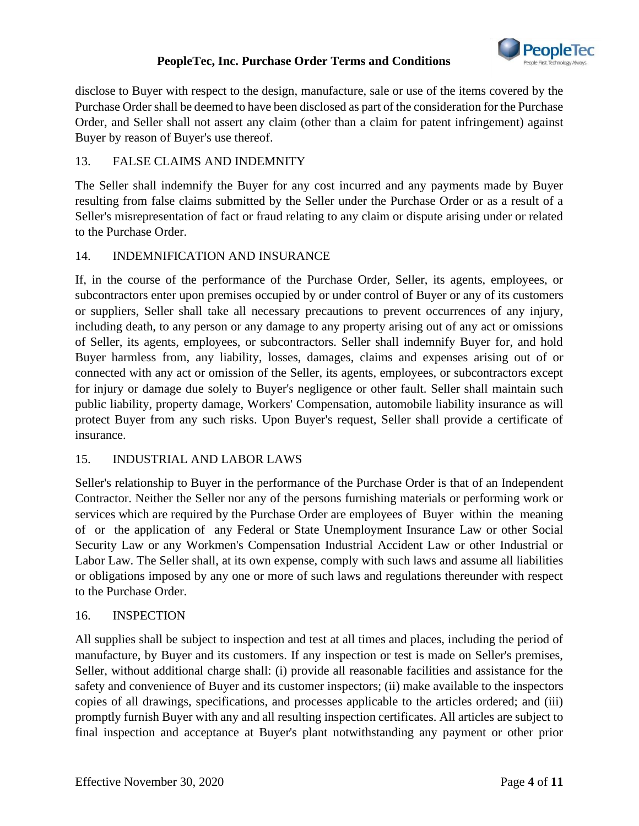

disclose to Buyer with respect to the design, manufacture, sale or use of the items covered by the Purchase Order shall be deemed to have been disclosed as part of the consideration for the Purchase Order, and Seller shall not assert any claim (other than a claim for patent infringement) against Buyer by reason of Buyer's use thereof.

## 13. FALSE CLAIMS AND INDEMNITY

The Seller shall indemnify the Buyer for any cost incurred and any payments made by Buyer resulting from false claims submitted by the Seller under the Purchase Order or as a result of a Seller's misrepresentation of fact or fraud relating to any claim or dispute arising under or related to the Purchase Order.

#### 14. INDEMNIFICATION AND INSURANCE

If, in the course of the performance of the Purchase Order, Seller, its agents, employees, or subcontractors enter upon premises occupied by or under control of Buyer or any of its customers or suppliers, Seller shall take all necessary precautions to prevent occurrences of any injury, including death, to any person or any damage to any property arising out of any act or omissions of Seller, its agents, employees, or subcontractors. Seller shall indemnify Buyer for, and hold Buyer harmless from, any liability, losses, damages, claims and expenses arising out of or connected with any act or omission of the Seller, its agents, employees, or subcontractors except for injury or damage due solely to Buyer's negligence or other fault. Seller shall maintain such public liability, property damage, Workers' Compensation, automobile liability insurance as will protect Buyer from any such risks. Upon Buyer's request, Seller shall provide a certificate of insurance.

#### 15. INDUSTRIAL AND LABOR LAWS

Seller's relationship to Buyer in the performance of the Purchase Order is that of an Independent Contractor. Neither the Seller nor any of the persons furnishing materials or performing work or services which are required by the Purchase Order are employees of Buyer within the meaning of or the application of any Federal or State Unemployment Insurance Law or other Social Security Law or any Workmen's Compensation Industrial Accident Law or other Industrial or Labor Law. The Seller shall, at its own expense, comply with such laws and assume all liabilities or obligations imposed by any one or more of such laws and regulations thereunder with respect to the Purchase Order.

#### 16. INSPECTION

All supplies shall be subject to inspection and test at all times and places, including the period of manufacture, by Buyer and its customers. If any inspection or test is made on Seller's premises, Seller, without additional charge shall: (i) provide all reasonable facilities and assistance for the safety and convenience of Buyer and its customer inspectors; (ii) make available to the inspectors copies of all drawings, specifications, and processes applicable to the articles ordered; and (iii) promptly furnish Buyer with any and all resulting inspection certificates. All articles are subject to final inspection and acceptance at Buyer's plant notwithstanding any payment or other prior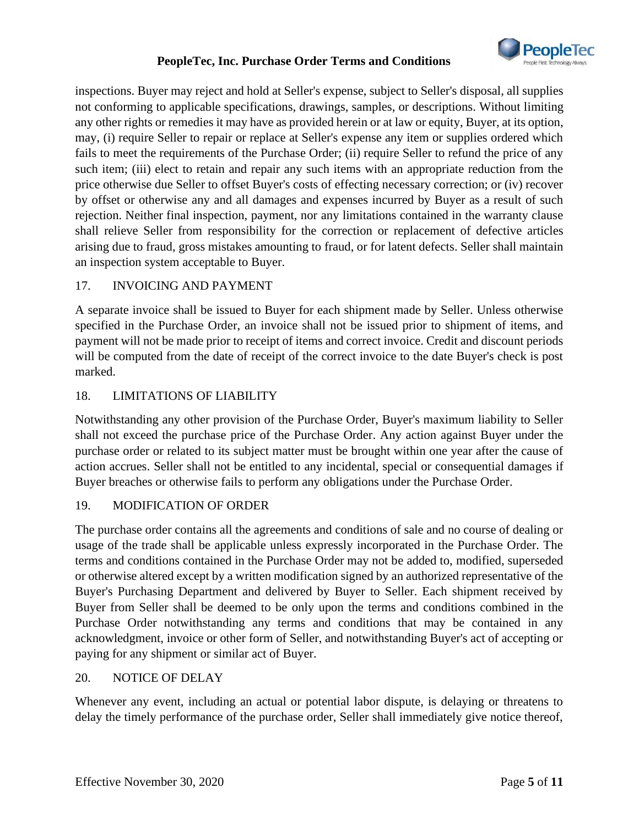

inspections. Buyer may reject and hold at Seller's expense, subject to Seller's disposal, all supplies not conforming to applicable specifications, drawings, samples, or descriptions. Without limiting any other rights or remedies it may have as provided herein or at law or equity, Buyer, at its option, may, (i) require Seller to repair or replace at Seller's expense any item or supplies ordered which fails to meet the requirements of the Purchase Order; (ii) require Seller to refund the price of any such item; (iii) elect to retain and repair any such items with an appropriate reduction from the price otherwise due Seller to offset Buyer's costs of effecting necessary correction; or (iv) recover by offset or otherwise any and all damages and expenses incurred by Buyer as a result of such rejection. Neither final inspection, payment, nor any limitations contained in the warranty clause shall relieve Seller from responsibility for the correction or replacement of defective articles arising due to fraud, gross mistakes amounting to fraud, or for latent defects. Seller shall maintain an inspection system acceptable to Buyer.

## 17. INVOICING AND PAYMENT

A separate invoice shall be issued to Buyer for each shipment made by Seller. Unless otherwise specified in the Purchase Order, an invoice shall not be issued prior to shipment of items, and payment will not be made prior to receipt of items and correct invoice. Credit and discount periods will be computed from the date of receipt of the correct invoice to the date Buyer's check is post marked.

## 18. LIMITATIONS OF LIABILITY

Notwithstanding any other provision of the Purchase Order, Buyer's maximum liability to Seller shall not exceed the purchase price of the Purchase Order. Any action against Buyer under the purchase order or related to its subject matter must be brought within one year after the cause of action accrues. Seller shall not be entitled to any incidental, special or consequential damages if Buyer breaches or otherwise fails to perform any obligations under the Purchase Order.

#### 19. MODIFICATION OF ORDER

The purchase order contains all the agreements and conditions of sale and no course of dealing or usage of the trade shall be applicable unless expressly incorporated in the Purchase Order. The terms and conditions contained in the Purchase Order may not be added to, modified, superseded or otherwise altered except by a written modification signed by an authorized representative of the Buyer's Purchasing Department and delivered by Buyer to Seller. Each shipment received by Buyer from Seller shall be deemed to be only upon the terms and conditions combined in the Purchase Order notwithstanding any terms and conditions that may be contained in any acknowledgment, invoice or other form of Seller, and notwithstanding Buyer's act of accepting or paying for any shipment or similar act of Buyer.

#### 20. NOTICE OF DELAY

Whenever any event, including an actual or potential labor dispute, is delaying or threatens to delay the timely performance of the purchase order, Seller shall immediately give notice thereof,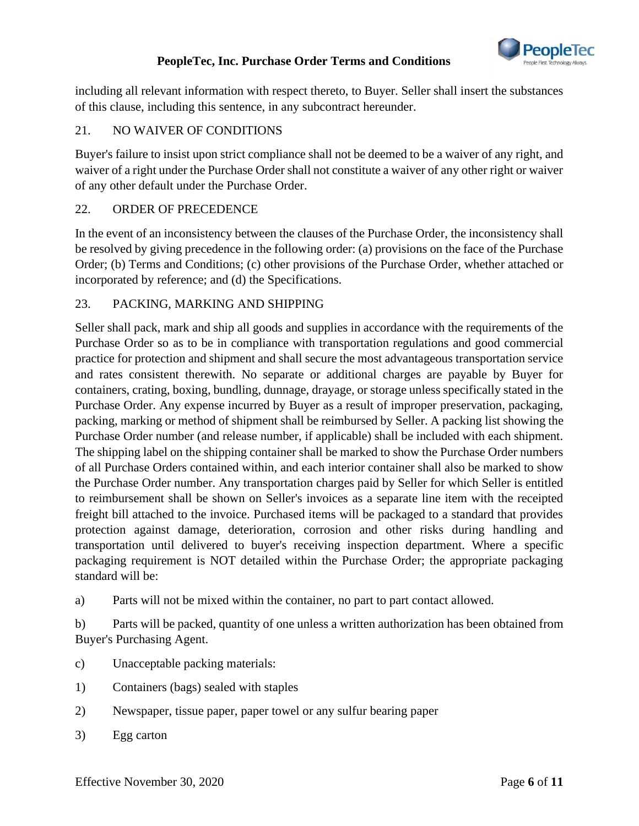

including all relevant information with respect thereto, to Buyer. Seller shall insert the substances of this clause, including this sentence, in any subcontract hereunder.

## 21. NO WAIVER OF CONDITIONS

Buyer's failure to insist upon strict compliance shall not be deemed to be a waiver of any right, and waiver of a right under the Purchase Order shall not constitute a waiver of any other right or waiver of any other default under the Purchase Order.

## 22. ORDER OF PRECEDENCE

In the event of an inconsistency between the clauses of the Purchase Order, the inconsistency shall be resolved by giving precedence in the following order: (a) provisions on the face of the Purchase Order; (b) Terms and Conditions; (c) other provisions of the Purchase Order, whether attached or incorporated by reference; and (d) the Specifications.

## 23. PACKING, MARKING AND SHIPPING

Seller shall pack, mark and ship all goods and supplies in accordance with the requirements of the Purchase Order so as to be in compliance with transportation regulations and good commercial practice for protection and shipment and shall secure the most advantageous transportation service and rates consistent therewith. No separate or additional charges are payable by Buyer for containers, crating, boxing, bundling, dunnage, drayage, or storage unless specifically stated in the Purchase Order. Any expense incurred by Buyer as a result of improper preservation, packaging, packing, marking or method of shipment shall be reimbursed by Seller. A packing list showing the Purchase Order number (and release number, if applicable) shall be included with each shipment. The shipping label on the shipping container shall be marked to show the Purchase Order numbers of all Purchase Orders contained within, and each interior container shall also be marked to show the Purchase Order number. Any transportation charges paid by Seller for which Seller is entitled to reimbursement shall be shown on Seller's invoices as a separate line item with the receipted freight bill attached to the invoice. Purchased items will be packaged to a standard that provides protection against damage, deterioration, corrosion and other risks during handling and transportation until delivered to buyer's receiving inspection department. Where a specific packaging requirement is NOT detailed within the Purchase Order; the appropriate packaging standard will be:

a) Parts will not be mixed within the container, no part to part contact allowed.

b) Parts will be packed, quantity of one unless a written authorization has been obtained from Buyer's Purchasing Agent.

- c) Unacceptable packing materials:
- 1) Containers (bags) sealed with staples
- 2) Newspaper, tissue paper, paper towel or any sulfur bearing paper
- 3) Egg carton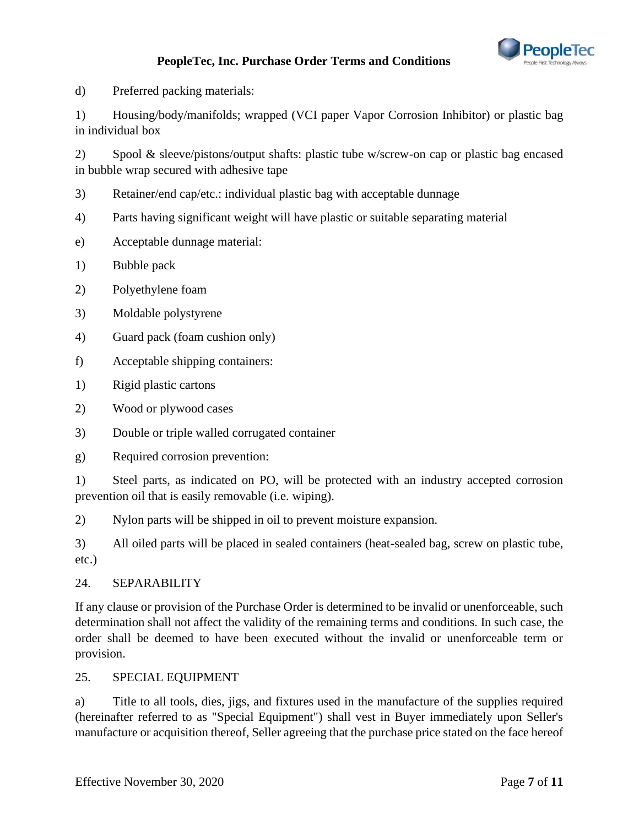

d) Preferred packing materials:

1) Housing/body/manifolds; wrapped (VCI paper Vapor Corrosion Inhibitor) or plastic bag in individual box

2) Spool & sleeve/pistons/output shafts: plastic tube w/screw-on cap or plastic bag encased in bubble wrap secured with adhesive tape

- 3) Retainer/end cap/etc.: individual plastic bag with acceptable dunnage
- 4) Parts having significant weight will have plastic or suitable separating material
- e) Acceptable dunnage material:
- 1) Bubble pack
- 2) Polyethylene foam
- 3) Moldable polystyrene
- 4) Guard pack (foam cushion only)
- f) Acceptable shipping containers:
- 1) Rigid plastic cartons
- 2) Wood or plywood cases
- 3) Double or triple walled corrugated container
- g) Required corrosion prevention:

1) Steel parts, as indicated on PO, will be protected with an industry accepted corrosion prevention oil that is easily removable (i.e. wiping).

2) Nylon parts will be shipped in oil to prevent moisture expansion.

3) All oiled parts will be placed in sealed containers (heat-sealed bag, screw on plastic tube, etc.)

#### 24. SEPARABILITY

If any clause or provision of the Purchase Order is determined to be invalid or unenforceable, such determination shall not affect the validity of the remaining terms and conditions. In such case, the order shall be deemed to have been executed without the invalid or unenforceable term or provision.

#### 25. SPECIAL EQUIPMENT

a) Title to all tools, dies, jigs, and fixtures used in the manufacture of the supplies required (hereinafter referred to as "Special Equipment") shall vest in Buyer immediately upon Seller's manufacture or acquisition thereof, Seller agreeing that the purchase price stated on the face hereof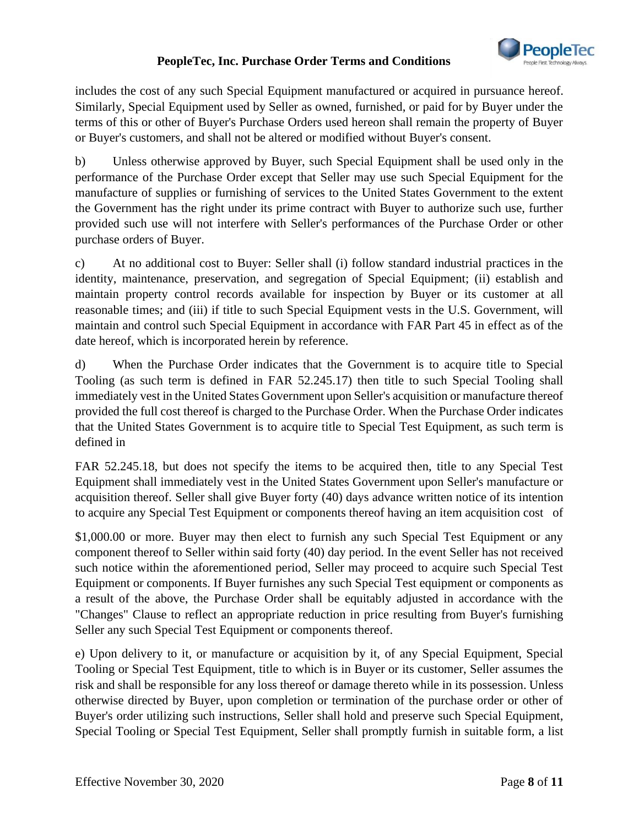

includes the cost of any such Special Equipment manufactured or acquired in pursuance hereof. Similarly, Special Equipment used by Seller as owned, furnished, or paid for by Buyer under the terms of this or other of Buyer's Purchase Orders used hereon shall remain the property of Buyer or Buyer's customers, and shall not be altered or modified without Buyer's consent.

b) Unless otherwise approved by Buyer, such Special Equipment shall be used only in the performance of the Purchase Order except that Seller may use such Special Equipment for the manufacture of supplies or furnishing of services to the United States Government to the extent the Government has the right under its prime contract with Buyer to authorize such use, further provided such use will not interfere with Seller's performances of the Purchase Order or other purchase orders of Buyer.

c) At no additional cost to Buyer: Seller shall (i) follow standard industrial practices in the identity, maintenance, preservation, and segregation of Special Equipment; (ii) establish and maintain property control records available for inspection by Buyer or its customer at all reasonable times; and (iii) if title to such Special Equipment vests in the U.S. Government, will maintain and control such Special Equipment in accordance with FAR Part 45 in effect as of the date hereof, which is incorporated herein by reference.

d) When the Purchase Order indicates that the Government is to acquire title to Special Tooling (as such term is defined in FAR 52.245.17) then title to such Special Tooling shall immediately vest in the United States Government upon Seller's acquisition or manufacture thereof provided the full cost thereof is charged to the Purchase Order. When the Purchase Order indicates that the United States Government is to acquire title to Special Test Equipment, as such term is defined in

FAR 52.245.18, but does not specify the items to be acquired then, title to any Special Test Equipment shall immediately vest in the United States Government upon Seller's manufacture or acquisition thereof. Seller shall give Buyer forty (40) days advance written notice of its intention to acquire any Special Test Equipment or components thereof having an item acquisition cost of

\$1,000.00 or more. Buyer may then elect to furnish any such Special Test Equipment or any component thereof to Seller within said forty (40) day period. In the event Seller has not received such notice within the aforementioned period, Seller may proceed to acquire such Special Test Equipment or components. If Buyer furnishes any such Special Test equipment or components as a result of the above, the Purchase Order shall be equitably adjusted in accordance with the "Changes" Clause to reflect an appropriate reduction in price resulting from Buyer's furnishing Seller any such Special Test Equipment or components thereof.

e) Upon delivery to it, or manufacture or acquisition by it, of any Special Equipment, Special Tooling or Special Test Equipment, title to which is in Buyer or its customer, Seller assumes the risk and shall be responsible for any loss thereof or damage thereto while in its possession. Unless otherwise directed by Buyer, upon completion or termination of the purchase order or other of Buyer's order utilizing such instructions, Seller shall hold and preserve such Special Equipment, Special Tooling or Special Test Equipment, Seller shall promptly furnish in suitable form, a list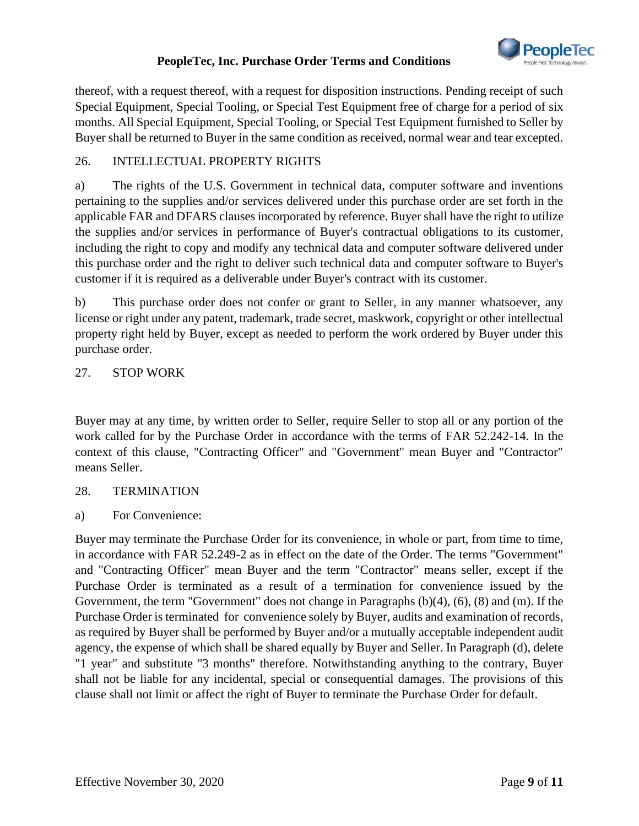

thereof, with a request thereof, with a request for disposition instructions. Pending receipt of such Special Equipment, Special Tooling, or Special Test Equipment free of charge for a period of six months. All Special Equipment, Special Tooling, or Special Test Equipment furnished to Seller by Buyer shall be returned to Buyer in the same condition as received, normal wear and tear excepted.

## 26. INTELLECTUAL PROPERTY RIGHTS

a) The rights of the U.S. Government in technical data, computer software and inventions pertaining to the supplies and/or services delivered under this purchase order are set forth in the applicable FAR and DFARS clauses incorporated by reference. Buyer shall have the right to utilize the supplies and/or services in performance of Buyer's contractual obligations to its customer, including the right to copy and modify any technical data and computer software delivered under this purchase order and the right to deliver such technical data and computer software to Buyer's customer if it is required as a deliverable under Buyer's contract with its customer.

b) This purchase order does not confer or grant to Seller, in any manner whatsoever, any license or right under any patent, trademark, trade secret, maskwork, copyright or other intellectual property right held by Buyer, except as needed to perform the work ordered by Buyer under this purchase order.

#### 27. STOP WORK

Buyer may at any time, by written order to Seller, require Seller to stop all or any portion of the work called for by the Purchase Order in accordance with the terms of FAR 52.242-14. In the context of this clause, "Contracting Officer" and "Government" mean Buyer and "Contractor" means Seller.

#### 28. TERMINATION

a) For Convenience:

Buyer may terminate the Purchase Order for its convenience, in whole or part, from time to time, in accordance with FAR 52.249-2 as in effect on the date of the Order. The terms "Government" and "Contracting Officer" mean Buyer and the term "Contractor" means seller, except if the Purchase Order is terminated as a result of a termination for convenience issued by the Government, the term "Government" does not change in Paragraphs (b)(4), (6), (8) and (m). If the Purchase Order is terminated for convenience solely by Buyer, audits and examination of records, as required by Buyer shall be performed by Buyer and/or a mutually acceptable independent audit agency, the expense of which shall be shared equally by Buyer and Seller. In Paragraph (d), delete "1 year" and substitute "3 months" therefore. Notwithstanding anything to the contrary, Buyer shall not be liable for any incidental, special or consequential damages. The provisions of this clause shall not limit or affect the right of Buyer to terminate the Purchase Order for default.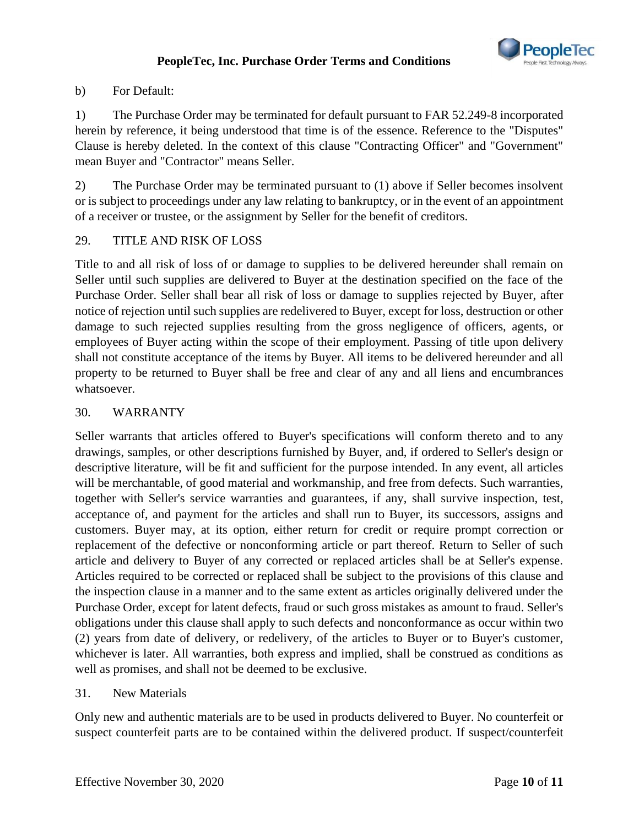

## b) For Default:

1) The Purchase Order may be terminated for default pursuant to FAR 52.249-8 incorporated herein by reference, it being understood that time is of the essence. Reference to the "Disputes" Clause is hereby deleted. In the context of this clause "Contracting Officer" and "Government" mean Buyer and "Contractor" means Seller.

2) The Purchase Order may be terminated pursuant to (1) above if Seller becomes insolvent or is subject to proceedings under any law relating to bankruptcy, or in the event of an appointment of a receiver or trustee, or the assignment by Seller for the benefit of creditors.

## 29. TITLE AND RISK OF LOSS

Title to and all risk of loss of or damage to supplies to be delivered hereunder shall remain on Seller until such supplies are delivered to Buyer at the destination specified on the face of the Purchase Order. Seller shall bear all risk of loss or damage to supplies rejected by Buyer, after notice of rejection until such supplies are redelivered to Buyer, except for loss, destruction or other damage to such rejected supplies resulting from the gross negligence of officers, agents, or employees of Buyer acting within the scope of their employment. Passing of title upon delivery shall not constitute acceptance of the items by Buyer. All items to be delivered hereunder and all property to be returned to Buyer shall be free and clear of any and all liens and encumbrances whatsoever.

## 30. WARRANTY

Seller warrants that articles offered to Buyer's specifications will conform thereto and to any drawings, samples, or other descriptions furnished by Buyer, and, if ordered to Seller's design or descriptive literature, will be fit and sufficient for the purpose intended. In any event, all articles will be merchantable, of good material and workmanship, and free from defects. Such warranties, together with Seller's service warranties and guarantees, if any, shall survive inspection, test, acceptance of, and payment for the articles and shall run to Buyer, its successors, assigns and customers. Buyer may, at its option, either return for credit or require prompt correction or replacement of the defective or nonconforming article or part thereof. Return to Seller of such article and delivery to Buyer of any corrected or replaced articles shall be at Seller's expense. Articles required to be corrected or replaced shall be subject to the provisions of this clause and the inspection clause in a manner and to the same extent as articles originally delivered under the Purchase Order, except for latent defects, fraud or such gross mistakes as amount to fraud. Seller's obligations under this clause shall apply to such defects and nonconformance as occur within two (2) years from date of delivery, or redelivery, of the articles to Buyer or to Buyer's customer, whichever is later. All warranties, both express and implied, shall be construed as conditions as well as promises, and shall not be deemed to be exclusive.

#### 31. New Materials

Only new and authentic materials are to be used in products delivered to Buyer. No counterfeit or suspect counterfeit parts are to be contained within the delivered product. If suspect/counterfeit